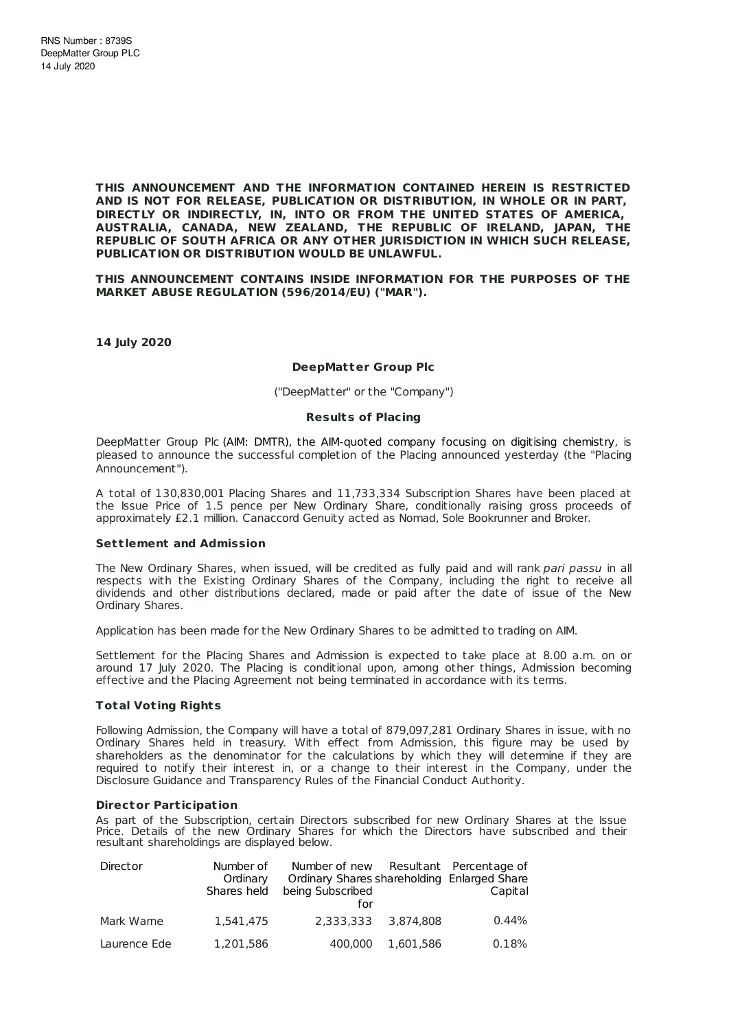**THIS ANNOUNCEMENT AND THE INFORMATION CONTAINED HEREIN IS RESTRICTED AND IS NOT FOR RELEASE, PUBLICATION OR DISTRIBUTION, IN WHOLE OR IN PART, DIRECTLY OR INDIRECTLY, IN, INTO OR FROM THE UNITED STATES OF AMERICA, AUSTRALIA, CANADA, NEW ZEALAND, THE REPUBLIC OF IRELAND, JAPAN, THE REPUBLIC OF SOUTH AFRICA OR ANY OTHER JURISDICTION IN WHICH SUCH RELEASE, PUBLICATION OR DISTRIBUTION WOULD BE UNLAWFUL.**

**THIS ANNOUNCEMENT CONTAINS INSIDE INFORMATION FOR THE PURPOSES OF THE MARKET ABUSE REGULATION (596/2014/EU) ("MAR").**

**14 July 2020**

### **DeepMatter Group Plc**

("DeepMatter" or the "Company")

### **Results of Placing**

DeepMatter Group Plc (AIM: DMTR), the AIM-quoted company focusing on digitising chemistry, is pleased to announce the successful completion of the Placing announced yesterday (the "Placing Announcement").

A total of 130,830,001 Placing Shares and 11,733,334 Subscription Shares have been placed at the Issue Price of 1.5 pence per New Ordinary Share, conditionally raising gross proceeds of approximately £2.1 million. Canaccord Genuity acted as Nomad, Sole Bookrunner and Broker.

### **Set t lement and Admission**

The New Ordinary Shares, when issued, will be credited as fully paid and will rank pari passu in all respects with the Existing Ordinary Shares of the Company, including the right to receive all dividends and other distributions declared, made or paid after the date of issue of the New Ordinary Shares.

Application has been made for the New Ordinary Shares to be admitted to trading on AIM.

Settlement for the Placing Shares and Admission is expected to take place at 8.00 a.m. on or around 17 July 2020. The Placing is conditional upon, among other things, Admission becoming effective and the Placing Agreement not being terminated in accordance with its terms.

### **Total Vot ing Rights**

Following Admission, the Company will have a total of 879,097,281 Ordinary Shares in issue, with no Ordinary Shares held in treasury. With effect from Admission, this figure may be used by shareholders as the denominator for the calculations by which they will determine if they are required to notify their interest in, or a change to their interest in the Company, under the Disclosure Guidance and Transparency Rules of the Financial Conduct Authority.

### **Director Part icipat ion**

As part of the Subscription, certain Directors subscribed for new Ordinary Shares at the Issue Price. Details of the new Ordinary Shares for which the Directors have subscribed and their resultant shareholdings are displayed below.

| Director     | Number of<br>Ordinary<br>Shares held | Number of new Resultant Percentage of<br>Ordinary Shares shareholding Enlarged Share<br>being Subscribed<br>for |           | Capital |
|--------------|--------------------------------------|-----------------------------------------------------------------------------------------------------------------|-----------|---------|
| Mark Warne   | 1,541,475                            | 2.333.333                                                                                                       | 3.874.808 | 0.44%   |
| Laurence Ede | 1.201.586                            | 400,000                                                                                                         | 1.601.586 | 0.18%   |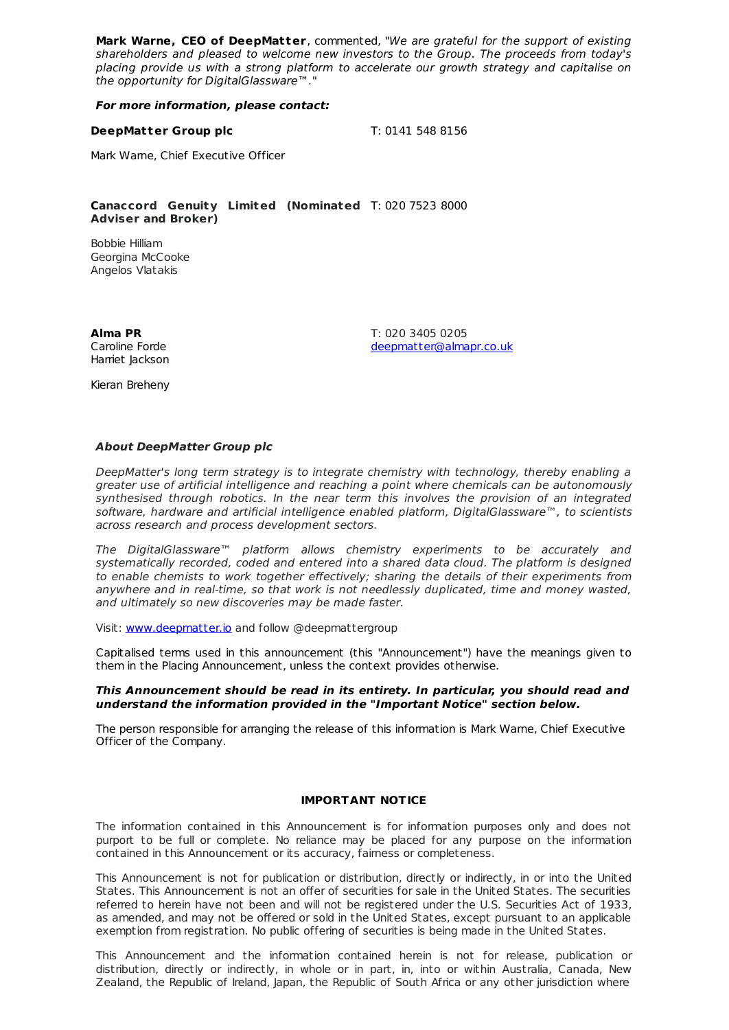**Mark Warne, CEO of DeepMatter**, commented, "We are grateful for the support of existing shareholders and pleased to welcome new investors to the Group. The proceeds from today's placing provide us with a strong platform to accelerate our growth strategy and capitalise on the opportunity for DigitalGlassware™."

**For more information, please contact:**

### **DeepMatter Group plc** T: 0141 548 8156

Mark Warne, Chief Executive Officer

**Canaccord Genuity Limited (Nominated** T: 020 7523 8000 **Adviser and Broker)**

Bobbie Hilliam Georgina McCooke Angelos Vlatakis

**Alma PR** Caroline Forde Harriet Jackson

Kieran Breheny

T: 020 3405 0205 [deepmatter@almapr.co.uk](mailto:deepmatter@almapr.co.uk)

**About DeepMatter Group plc**

DeepMatter's long term strategy is to integrate chemistry with technology, thereby enabling a greater use of artificial intelligence and reaching a point where chemicals can be autonomously synthesised through robotics. In the near term this involves the provision of an integrated software, hardware and artificial intelligence enabled platform, DigitalGlassware™, to scientists across research and process development sectors.

The DigitalGlassware™ platform allows chemistry experiments to be accurately and systematically recorded, coded and entered into a shared data cloud. The platform is designed to enable chemists to work together effectively; sharing the details of their experiments from anywhere and in real-time, so that work is not needlessly duplicated, time and money wasted, and ultimately so new discoveries may be made faster.

Visit: [www.deepmatter.io](http://www.deepmatter.io/) and follow @deepmattergroup

Capitalised terms used in this announcement (this "Announcement") have the meanings given to them in the Placing Announcement, unless the context provides otherwise.

## **This Announcement should be read in its entirety. In particular, you should read and understand the information provided in the "Important Notice" section below.**

The person responsible for arranging the release of this information is Mark Warne, Chief Executive Officer of the Company.

# **IMPORTANT NOTICE**

The information contained in this Announcement is for information purposes only and does not purport to be full or complete. No reliance may be placed for any purpose on the information contained in this Announcement or its accuracy, fairness or completeness.

This Announcement is not for publication or distribution, directly or indirectly, in or into the United States. This Announcement is not an offer of securities for sale in the United States. The securities referred to herein have not been and will not be registered under the U.S. Securities Act of 1933, as amended, and may not be offered or sold in the United States, except pursuant to an applicable exemption from registration. No public offering of securities is being made in the United States.

This Announcement and the information contained herein is not for release, publication or distribution, directly or indirectly, in whole or in part, in, into or within Australia, Canada, New Zealand, the Republic of Ireland, Japan, the Republic of South Africa or any other jurisdiction where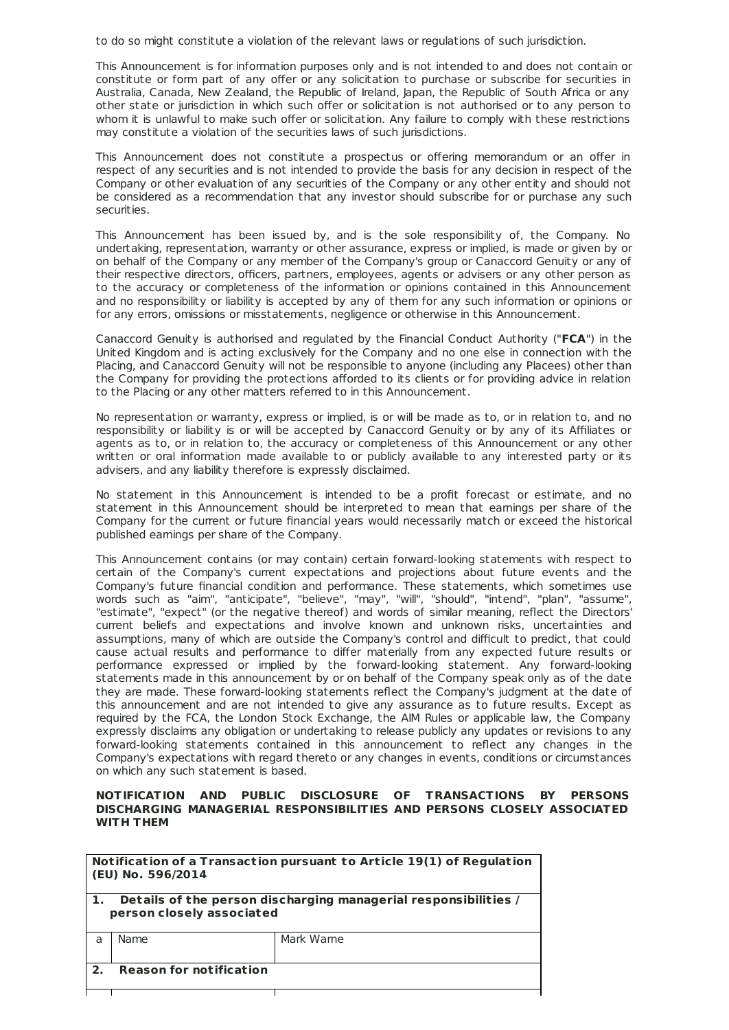to do so might constitute a violation of the relevant laws or regulations of such jurisdiction.

This Announcement is for information purposes only and is not intended to and does not contain or constitute or form part of any offer or any solicitation to purchase or subscribe for securities in Australia, Canada, New Zealand, the Republic of Ireland, Japan, the Republic of South Africa or any other state or jurisdiction in which such offer or solicitation is not authorised or to any person to whom it is unlawful to make such offer or solicitation. Any failure to comply with these restrictions may constitute a violation of the securities laws of such jurisdictions.

This Announcement does not constitute a prospectus or offering memorandum or an offer in respect of any securities and is not intended to provide the basis for any decision in respect of the Company or other evaluation of any securities of the Company or any other entity and should not be considered as a recommendation that any investor should subscribe for or purchase any such securities.

This Announcement has been issued by, and is the sole responsibility of, the Company. No undertaking, representation, warranty or other assurance, express or implied, is made or given by or on behalf of the Company or any member of the Company's group or Canaccord Genuity or any of their respective directors, officers, partners, employees, agents or advisers or any other person as to the accuracy or completeness of the information or opinions contained in this Announcement and no responsibility or liability is accepted by any of them for any such information or opinions or for any errors, omissions or misstatements, negligence or otherwise in this Announcement.

Canaccord Genuity is authorised and regulated by the Financial Conduct Authority ("**FCA**") in the United Kingdom and is acting exclusively for the Company and no one else in connection with the Placing, and Canaccord Genuity will not be responsible to anyone (including any Placees) other than the Company for providing the protections afforded to its clients or for providing advice in relation to the Placing or any other matters referred to in this Announcement.

No representation or warranty, express or implied, is or will be made as to, or in relation to, and no responsibility or liability is or will be accepted by Canaccord Genuity or by any of its Affiliates or agents as to, or in relation to, the accuracy or completeness of this Announcement or any other written or oral information made available to or publicly available to any interested party or its advisers, and any liability therefore is expressly disclaimed.

No statement in this Announcement is intended to be a profit forecast or estimate, and no statement in this Announcement should be interpreted to mean that earnings per share of the Company for the current or future financial years would necessarily match or exceed the historical published earnings per share of the Company.

This Announcement contains (or may contain) certain forward-looking statements with respect to certain of the Company's current expectations and projections about future events and the Company's future financial condition and performance. These statements, which sometimes use words such as "aim", "anticipate", "believe", "may", "will", "should", "intend", "plan", "assume", "estimate", "expect" (or the negative thereof) and words of similar meaning, reflect the Directors' current beliefs and expectations and involve known and unknown risks, uncertainties and assumptions, many of which are outside the Company's control and difficult to predict, that could cause actual results and performance to differ materially from any expected future results or performance expressed or implied by the forward-looking statement. Any forward-looking statements made in this announcement by or on behalf of the Company speak only as of the date they are made. These forward-looking statements reflect the Company's judgment at the date of this announcement and are not intended to give any assurance as to future results. Except as required by the FCA, the London Stock Exchange, the AIM Rules or applicable law, the Company expressly disclaims any obligation or undertaking to release publicly any updates or revisions to any forward-looking statements contained in this announcement to reflect any changes in the Company's expectations with regard thereto or any changes in events, conditions or circumstances on which any such statement is based.

## **NOTIFICATION AND PUBLIC DISCLOSURE OF TRANSACTIONS BY PERSONS DISCHARGING MANAGERIAL RESPONSIBILITIES AND PERSONS CLOSELY ASSOCIATED WITH THEM**

|                | (EU) No. 596/2014                                                                            | Notification of a Transaction pursuant to Article 19(1) of Regulation |  |
|----------------|----------------------------------------------------------------------------------------------|-----------------------------------------------------------------------|--|
|                | Details of the person discharging managerial responsibilities /<br>person closely associated |                                                                       |  |
| $\overline{a}$ | Name                                                                                         | Mark Wame                                                             |  |
| $\mathbf{2}$   | <b>Reason for notification</b>                                                               |                                                                       |  |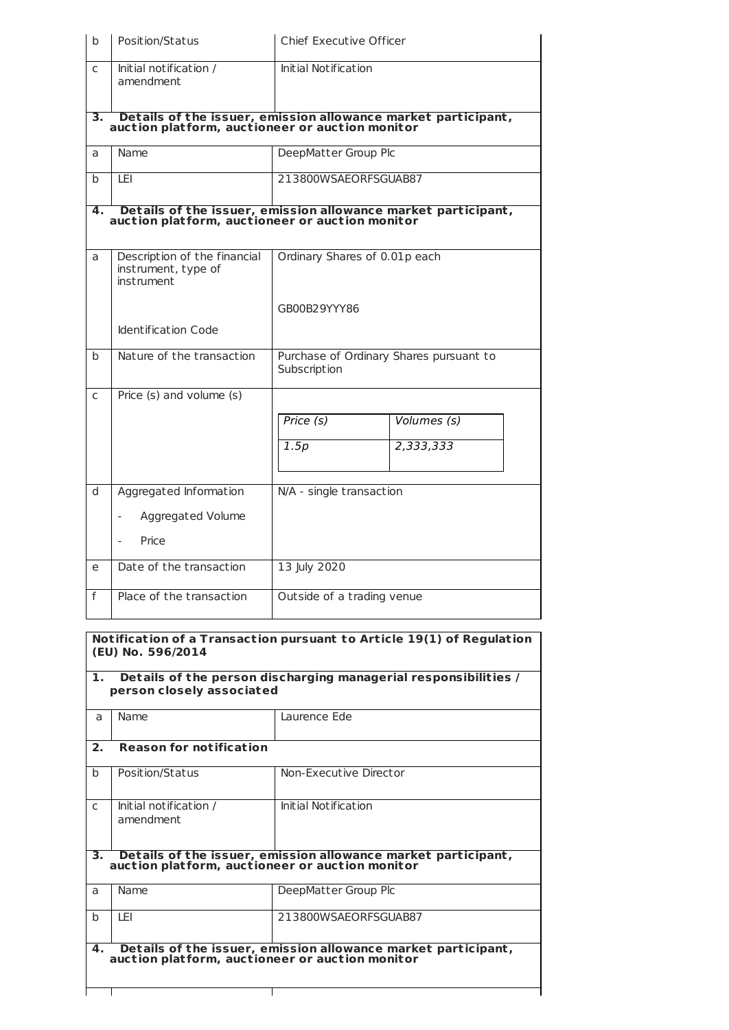| b                                                                                                                      | Position/Status                                                                                                                        | Chief Executive Officer                                 |             |  |  |
|------------------------------------------------------------------------------------------------------------------------|----------------------------------------------------------------------------------------------------------------------------------------|---------------------------------------------------------|-------------|--|--|
| $\mathsf{C}$                                                                                                           | Initial notification /<br>amendment                                                                                                    | <b>Initial Notification</b>                             |             |  |  |
| З.                                                                                                                     | $\overline{\phantom{a}}$ Details of the issuer, emission allowance market participant, auction platform, auctioneer or auction monitor |                                                         |             |  |  |
| a                                                                                                                      | Name                                                                                                                                   | DeepMatter Group Plc                                    |             |  |  |
| h                                                                                                                      | <b>LEI</b>                                                                                                                             | 213800WSAEORFSGUAB87                                    |             |  |  |
| Details of the issuer, emission allowance market participant,<br>auction platform, auctioneer or auction monitor<br>4. |                                                                                                                                        |                                                         |             |  |  |
| a                                                                                                                      | Description of the financial<br>instrument, type of<br>instrument                                                                      | Ordinary Shares of 0.01p each                           |             |  |  |
|                                                                                                                        |                                                                                                                                        | GB00B29YYY86                                            |             |  |  |
|                                                                                                                        | <b>Identification Code</b>                                                                                                             |                                                         |             |  |  |
| $\mathsf{h}$                                                                                                           | Nature of the transaction                                                                                                              | Purchase of Ordinary Shares pursuant to<br>Subscription |             |  |  |
| $\mathsf{C}$                                                                                                           | Price (s) and volume (s)                                                                                                               |                                                         |             |  |  |
|                                                                                                                        |                                                                                                                                        | Price (s)                                               | Volumes (s) |  |  |
|                                                                                                                        |                                                                                                                                        | 1.5p                                                    | 2,333,333   |  |  |
| d                                                                                                                      | Aggregated Information                                                                                                                 | N/A - single transaction                                |             |  |  |
|                                                                                                                        | Aggregated Volume                                                                                                                      |                                                         |             |  |  |
|                                                                                                                        | Price                                                                                                                                  |                                                         |             |  |  |
| e                                                                                                                      | Date of the transaction                                                                                                                | 13 July 2020                                            |             |  |  |
| f                                                                                                                      | Place of the transaction                                                                                                               | Outside of a trading venue                              |             |  |  |

# **Not ificat ion of a Transact ion pursuant to Art icle 19(1) of Regulat ion (EU) No. 596/2014**

|                                                                                                                        | Details of the person discharging managerial responsibilities /<br>$\mathbf{1}$ .<br>person closely associated   |                        |  |  |
|------------------------------------------------------------------------------------------------------------------------|------------------------------------------------------------------------------------------------------------------|------------------------|--|--|
| a                                                                                                                      | Name                                                                                                             | Laurence Ede           |  |  |
| 2.                                                                                                                     | <b>Reason for notification</b>                                                                                   |                        |  |  |
| $\mathbf b$                                                                                                            | Position/Status                                                                                                  | Non-Executive Director |  |  |
| $\mathsf{C}$                                                                                                           | Initial notification /<br>amendment                                                                              | Initial Notification   |  |  |
| З.                                                                                                                     | Details of the issuer, emission allowance market participant,<br>auction platform, auctioneer or auction monitor |                        |  |  |
| $\overline{a}$                                                                                                         | Name                                                                                                             | DeepMatter Group Plc   |  |  |
| h                                                                                                                      | I FI                                                                                                             | 213800WSAEORFSGUAB87   |  |  |
| Details of the issuer, emission allowance market participant,<br>4.<br>auction platform, auctioneer or auction monitor |                                                                                                                  |                        |  |  |

Τ

 $\overline{\phantom{a}}$